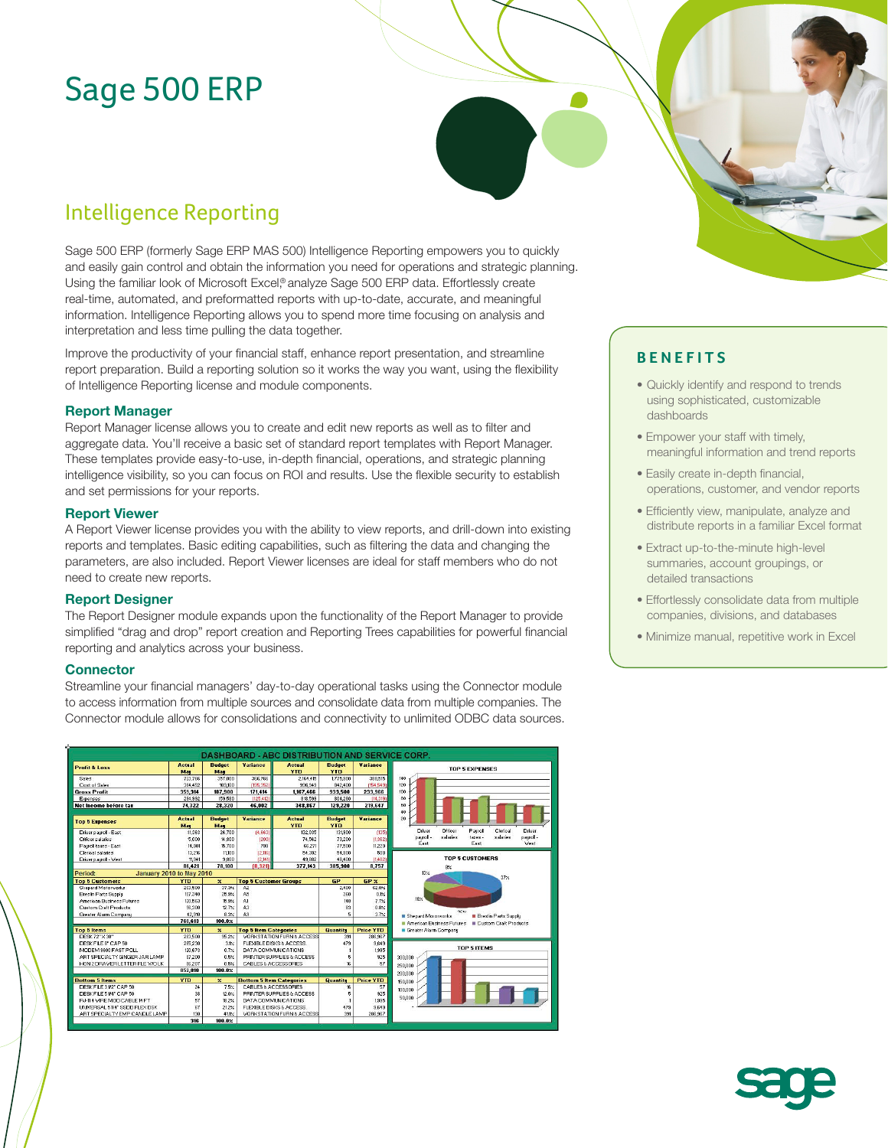# Sage 500 ERP

## Intelligence Reporting

Sage 500 ERP (formerly Sage ERP MAS 500) Intelligence Reporting empowers you to quickly and easily gain control and obtain the information you need for operations and strategic planning. Using the familiar look of Microsoft Excel,® analyze Sage 500 ERP data. Effortlessly create real-time, automated, and preformatted reports with up-to-date, accurate, and meaningful information. Intelligence Reporting allows you to spend more time focusing on analysis and interpretation and less time pulling the data together.

Improve the productivity of your financial staff, enhance report presentation, and streamline report preparation. Build a reporting solution so it works the way you want, using the flexibility of Intelligence Reporting license and module components.

#### **Report Manager**

Report Manager license allows you to create and edit new reports as well as to filter and aggregate data. You'll receive a basic set of standard report templates with Report Manager. These templates provide easy-to-use, in-depth financial, operations, and strategic planning intelligence visibility, so you can focus on ROI and results. Use the flexible security to establish and set permissions for your reports.

#### **Report Viewer**

A Report Viewer license provides you with the ability to view reports, and drill-down into existing reports and templates. Basic editing capabilities, such as filtering the data and changing the parameters, are also included. Report Viewer licenses are ideal for staff members who do not need to create new reports.

#### **Report Designer**

The Report Designer module expands upon the functionality of the Report Manager to provide simplified "drag and drop" report creation and Reporting Trees capabilities for powerful financial reporting and analytics across your business.

#### **Connector**

Streamline your financial managers' day-to-day operational tasks using the Connector module to access information from multiple sources and consolidate data from multiple companies. The Connector module allows for consolidations and connectivity to unlimited ODBC data sources.



### **BENEFITS**

- Quickly identify and respond to trends using sophisticated, customizable dashboards
- Empower your staff with timely, meaningful information and trend reports
- Easily create in-depth financial, operations, customer, and vendor reports
- Efficiently view, manipulate, analyze and distribute reports in a familiar Excel format
- Extract up-to-the-minute high-level summaries, account groupings, or detailed transactions
- Effortlessly consolidate data from multiple companies, divisions, and databases
- Minimize manual, repetitive work in Excel